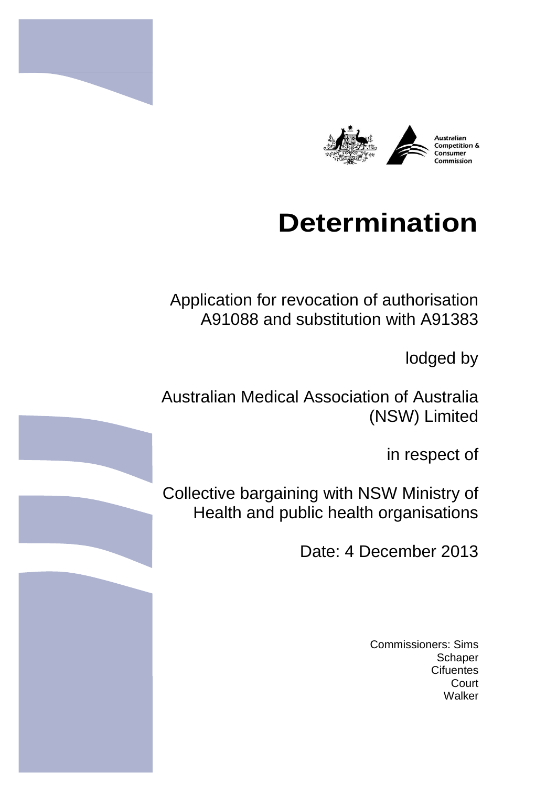

# **Determination**

Application for revocation of authorisation A91088 and substitution with A91383

lodged by

Australian Medical Association of Australia (NSW) Limited

in respect of

Collective bargaining with NSW Ministry of Health and public health organisations

Date: 4 December 2013

Commissioners: Sims **Schaper Cifuentes Court** Walker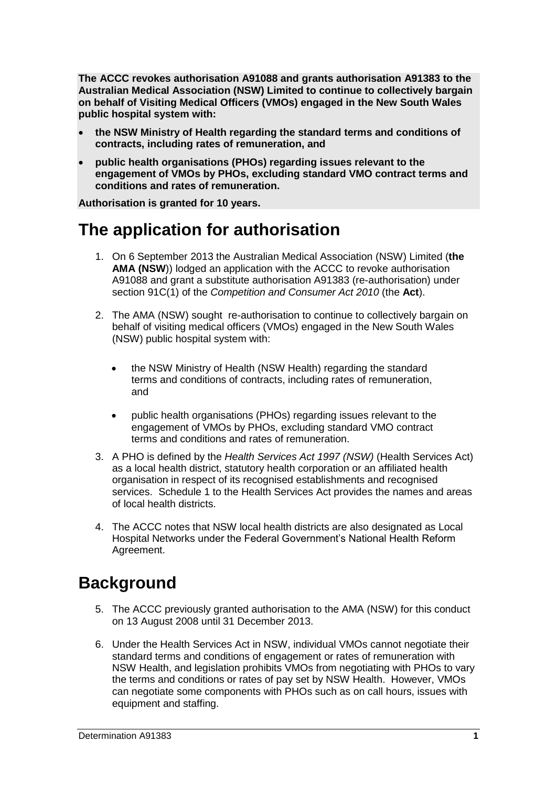**The ACCC revokes authorisation A91088 and grants authorisation A91383 to the Australian Medical Association (NSW) Limited to continue to collectively bargain on behalf of Visiting Medical Officers (VMOs) engaged in the New South Wales public hospital system with:**

- **the NSW Ministry of Health regarding the standard terms and conditions of contracts, including rates of remuneration, and**
- **public health organisations (PHOs) regarding issues relevant to the engagement of VMOs by PHOs, excluding standard VMO contract terms and conditions and rates of remuneration.**

**Authorisation is granted for 10 years.**

# **The application for authorisation**

- 1. On 6 September 2013 the Australian Medical Association (NSW) Limited (**the AMA (NSW**)) lodged an application with the ACCC to revoke authorisation A91088 and grant a substitute authorisation A91383 (re-authorisation) under section 91C(1) of the *Competition and Consumer Act 2010* (the **Act**).
- 2. The AMA (NSW) sought re-authorisation to continue to collectively bargain on behalf of visiting medical officers (VMOs) engaged in the New South Wales (NSW) public hospital system with:
	- the NSW Ministry of Health (NSW Health) regarding the standard terms and conditions of contracts, including rates of remuneration, and
	- public health organisations (PHOs) regarding issues relevant to the engagement of VMOs by PHOs, excluding standard VMO contract terms and conditions and rates of remuneration.
- 3. A PHO is defined by the *Health Services Act 1997 (NSW)* (Health Services Act) as a local health district, statutory health corporation or an affiliated health organisation in respect of its recognised establishments and recognised services. Schedule 1 to the Health Services Act provides the names and areas of local health districts.
- 4. The ACCC notes that NSW local health districts are also designated as Local Hospital Networks under the Federal Government's National Health Reform Agreement.

## **Background**

- 5. The ACCC previously granted authorisation to the AMA (NSW) for this conduct on 13 August 2008 until 31 December 2013.
- 6. Under the Health Services Act in NSW, individual VMOs cannot negotiate their standard terms and conditions of engagement or rates of remuneration with NSW Health, and legislation prohibits VMOs from negotiating with PHOs to vary the terms and conditions or rates of pay set by NSW Health. However, VMOs can negotiate some components with PHOs such as on call hours, issues with equipment and staffing.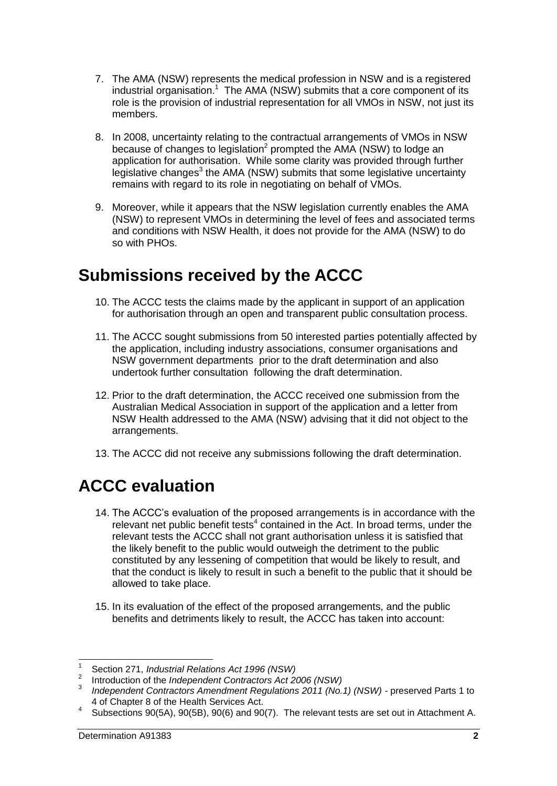- 7. The AMA (NSW) represents the medical profession in NSW and is a registered industrial organisation.<sup>1</sup> The AMA (NSW) submits that a core component of its role is the provision of industrial representation for all VMOs in NSW, not just its members.
- 8. In 2008, uncertainty relating to the contractual arrangements of VMOs in NSW because of changes to legislation<sup>2</sup> prompted the AMA (NSW) to lodge an application for authorisation. While some clarity was provided through further legislative changes<sup>3</sup> the AMA (NSW) submits that some legislative uncertainty remains with regard to its role in negotiating on behalf of VMOs.
- 9. Moreover, while it appears that the NSW legislation currently enables the AMA (NSW) to represent VMOs in determining the level of fees and associated terms and conditions with NSW Health, it does not provide for the AMA (NSW) to do so with PHOs.

# **Submissions received by the ACCC**

- 10. The ACCC tests the claims made by the applicant in support of an application for authorisation through an open and transparent public consultation process.
- 11. The ACCC sought submissions from 50 interested parties potentially affected by the application, including industry associations, consumer organisations and NSW government departments prior to the draft determination and also undertook further consultation following the draft determination.
- 12. Prior to the draft determination, the ACCC received one submission from the Australian Medical Association in support of the application and a letter from NSW Health addressed to the AMA (NSW) advising that it did not object to the arrangements.
- 13. The ACCC did not receive any submissions following the draft determination.

# **ACCC evaluation**

- 14. The ACCC's evaluation of the proposed arrangements is in accordance with the relevant net public benefit tests<sup>4</sup> contained in the Act. In broad terms, under the relevant tests the ACCC shall not grant authorisation unless it is satisfied that the likely benefit to the public would outweigh the detriment to the public constituted by any lessening of competition that would be likely to result, and that the conduct is likely to result in such a benefit to the public that it should be allowed to take place.
- 15. In its evaluation of the effect of the proposed arrangements, and the public benefits and detriments likely to result, the ACCC has taken into account:

 $\overline{1}$ 1 Section 271, *Industrial Relations Act 1996 (NSW)*

<sup>2</sup> Introduction of the *Independent Contractors Act 2006 (NSW)*

<sup>3</sup> *Independent Contractors Amendment Regulations 2011 (No.1) (NSW) -* preserved Parts 1 to 4 of Chapter 8 of the Health Services Act.

<sup>4</sup> Subsections 90(5A), 90(5B), 90(6) and 90(7). The relevant tests are set out in Attachment A.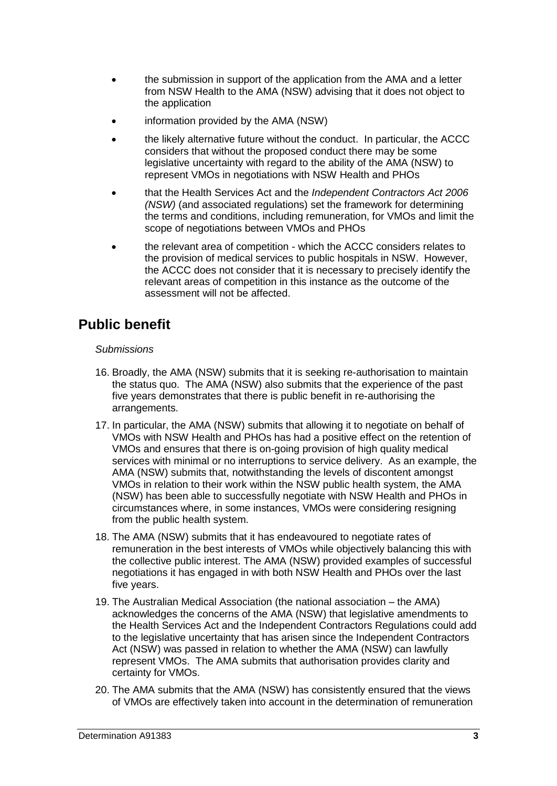- the submission in support of the application from the AMA and a letter from NSW Health to the AMA (NSW) advising that it does not object to the application
- information provided by the AMA (NSW)
- the likely alternative future without the conduct. In particular, the ACCC considers that without the proposed conduct there may be some legislative uncertainty with regard to the ability of the AMA (NSW) to represent VMOs in negotiations with NSW Health and PHOs
- that the Health Services Act and the *Independent Contractors Act 2006 (NSW)* (and associated regulations) set the framework for determining the terms and conditions, including remuneration, for VMOs and limit the scope of negotiations between VMOs and PHOs
- the relevant area of competition which the ACCC considers relates to the provision of medical services to public hospitals in NSW. However, the ACCC does not consider that it is necessary to precisely identify the relevant areas of competition in this instance as the outcome of the assessment will not be affected.

### **Public benefit**

#### *Submissions*

- 16. Broadly, the AMA (NSW) submits that it is seeking re-authorisation to maintain the status quo. The AMA (NSW) also submits that the experience of the past five years demonstrates that there is public benefit in re-authorising the arrangements.
- 17. In particular, the AMA (NSW) submits that allowing it to negotiate on behalf of VMOs with NSW Health and PHOs has had a positive effect on the retention of VMOs and ensures that there is on-going provision of high quality medical services with minimal or no interruptions to service delivery. As an example, the AMA (NSW) submits that, notwithstanding the levels of discontent amongst VMOs in relation to their work within the NSW public health system, the AMA (NSW) has been able to successfully negotiate with NSW Health and PHOs in circumstances where, in some instances, VMOs were considering resigning from the public health system.
- 18. The AMA (NSW) submits that it has endeavoured to negotiate rates of remuneration in the best interests of VMOs while objectively balancing this with the collective public interest. The AMA (NSW) provided examples of successful negotiations it has engaged in with both NSW Health and PHOs over the last five years.
- 19. The Australian Medical Association (the national association the AMA) acknowledges the concerns of the AMA (NSW) that legislative amendments to the Health Services Act and the Independent Contractors Regulations could add to the legislative uncertainty that has arisen since the Independent Contractors Act (NSW) was passed in relation to whether the AMA (NSW) can lawfully represent VMOs. The AMA submits that authorisation provides clarity and certainty for VMOs.
- 20. The AMA submits that the AMA (NSW) has consistently ensured that the views of VMOs are effectively taken into account in the determination of remuneration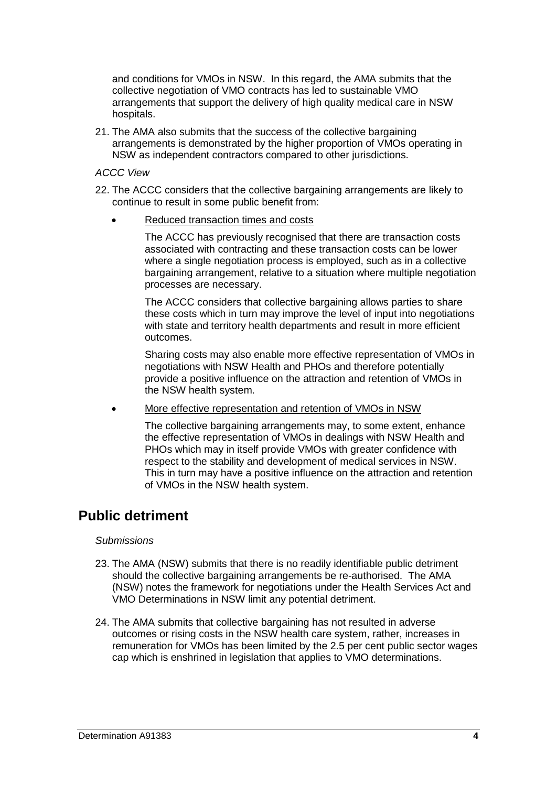and conditions for VMOs in NSW. In this regard, the AMA submits that the collective negotiation of VMO contracts has led to sustainable VMO arrangements that support the delivery of high quality medical care in NSW hospitals.

21. The AMA also submits that the success of the collective bargaining arrangements is demonstrated by the higher proportion of VMOs operating in NSW as independent contractors compared to other jurisdictions.

#### *ACCC View*

- 22. The ACCC considers that the collective bargaining arrangements are likely to continue to result in some public benefit from:
	- Reduced transaction times and costs

The ACCC has previously recognised that there are transaction costs associated with contracting and these transaction costs can be lower where a single negotiation process is employed, such as in a collective bargaining arrangement, relative to a situation where multiple negotiation processes are necessary.

The ACCC considers that collective bargaining allows parties to share these costs which in turn may improve the level of input into negotiations with state and territory health departments and result in more efficient outcomes.

Sharing costs may also enable more effective representation of VMOs in negotiations with NSW Health and PHOs and therefore potentially provide a positive influence on the attraction and retention of VMOs in the NSW health system.

More effective representation and retention of VMOs in NSW

The collective bargaining arrangements may, to some extent, enhance the effective representation of VMOs in dealings with NSW Health and PHOs which may in itself provide VMOs with greater confidence with respect to the stability and development of medical services in NSW. This in turn may have a positive influence on the attraction and retention of VMOs in the NSW health system.

#### **Public detriment**

#### *Submissions*

- 23. The AMA (NSW) submits that there is no readily identifiable public detriment should the collective bargaining arrangements be re-authorised. The AMA (NSW) notes the framework for negotiations under the Health Services Act and VMO Determinations in NSW limit any potential detriment.
- 24. The AMA submits that collective bargaining has not resulted in adverse outcomes or rising costs in the NSW health care system, rather, increases in remuneration for VMOs has been limited by the 2.5 per cent public sector wages cap which is enshrined in legislation that applies to VMO determinations.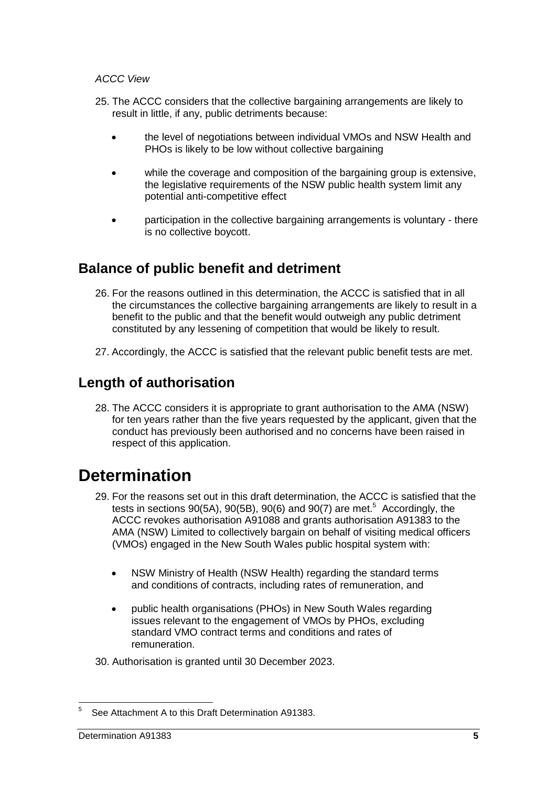#### *ACCC View*

- 25. The ACCC considers that the collective bargaining arrangements are likely to result in little, if any, public detriments because:
	- the level of negotiations between individual VMOs and NSW Health and PHOs is likely to be low without collective bargaining
	- while the coverage and composition of the bargaining group is extensive, the legislative requirements of the NSW public health system limit any potential anti-competitive effect
	- participation in the collective bargaining arrangements is voluntary there is no collective boycott.

### **Balance of public benefit and detriment**

- 26. For the reasons outlined in this determination, the ACCC is satisfied that in all the circumstances the collective bargaining arrangements are likely to result in a benefit to the public and that the benefit would outweigh any public detriment constituted by any lessening of competition that would be likely to result.
- 27. Accordingly, the ACCC is satisfied that the relevant public benefit tests are met.

### **Length of authorisation**

28. The ACCC considers it is appropriate to grant authorisation to the AMA (NSW) for ten years rather than the five years requested by the applicant, given that the conduct has previously been authorised and no concerns have been raised in respect of this application.

### **Determination**

- 29. For the reasons set out in this draft determination, the ACCC is satisfied that the tests in sections 90(5A), 90(5B), 90(6) and 90(7) are met.<sup>5</sup> Accordingly, the ACCC revokes authorisation A91088 and grants authorisation A91383 to the AMA (NSW) Limited to collectively bargain on behalf of visiting medical officers (VMOs) engaged in the New South Wales public hospital system with:
	- NSW Ministry of Health (NSW Health) regarding the standard terms and conditions of contracts, including rates of remuneration, and
	- public health organisations (PHOs) in New South Wales regarding issues relevant to the engagement of VMOs by PHOs, excluding standard VMO contract terms and conditions and rates of remuneration.

30. Authorisation is granted until 30 December 2023.

 $\frac{1}{5}$ See Attachment A to this Draft Determination A91383.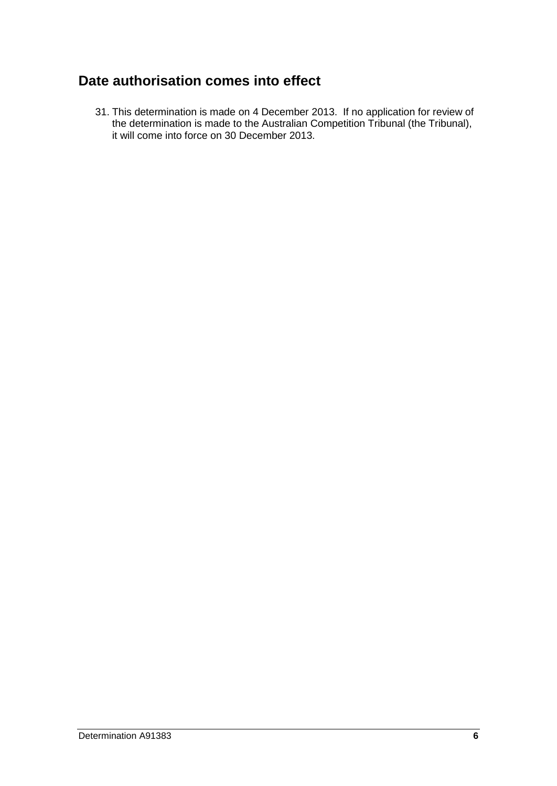### **Date authorisation comes into effect**

31. This determination is made on 4 December 2013. If no application for review of the determination is made to the Australian Competition Tribunal (the Tribunal), it will come into force on 30 December 2013.